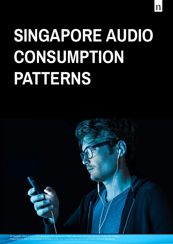# **SINGAPORE AUDIO CONSUMPTION PATTERNS**

11

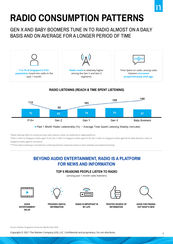# **RADIO CONSUMPTION PATTERNS**

### GEN X AND BABY BOOMERS TUNE IN TO RADIO ALMOST ON A DAILY BASIS AND ON AVERAGE FOR A LONGER PERIOD OF TIME



\*Radio listening refers to tuning into local radio stations, either via traditional or digital platforms

\*\*Gen Z refers to Singapore adults aged 15-24, Gen Y refers to Singapore adults aged 25-39, Gen X refers to Singapore adults aged 40-54, Baby Boomers refers to Singapore adults aged 55 and above

\*\*\*Time Spent Listening is calculated by combining listeners responses based on their weekday and weekend listening

### **BEYOND AUDIO ENTERTAINMENT, RADIO IS A PLATFORM FOR NEWS AND INFORMATION**

#### **TOP 5 REASONS PEOPLE LISTEN TO RADIO**

(among past 1 month radio listeners)



**GOOD ENTERTAINMENT VALUE**



**PROVIDES USEFUL INFORMATION**



**RADIO IS IMPORTANT IN MY LIFE**



**TRUSTED SOURCE OF INFORMATION**



**GOOD FOR FINDING OUT WHAT'S NEW**

Source: Nielsen Singapore Consumer Media View 2020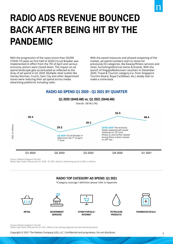# **RADIO ADS REVENUE BOUNCED BACK AFTER BEING HIT BY THE PANDEMIC**

With the progression of the cases (more than 50,000 COVID-19 cases on first half of 2020) Circuit Breaker was implemented in effect from the 7th of April and various economy sectors were closed down. The impact on ad spend landscape gets accentuated as reflected to the drop of ad spend in Q2 2020. Multiple retail outlets like Harvey Norman, Courts, Gain City and other department stores were reducing their ad spend across media advertising platforms including radio.

With the eased measures and phased reopening of the market, ad spend numbers start to revive for previously-hit categories, like beauty/fitness services and retail, furnishing/electrical stores & brands. With the launch of SingapoRediscovers vouchers in December 2020, Travel & Tourism category (i.e. from Singapore Tourism Board, Royal Caribbean, etc.) slowly start to make a come-back.

### **RADIO AD SPEND Q1 2020 - Q1 2021 BY QUARTER**



Source: Nielsen Singapore Ad Intel

Media Type: Radio, Data period: Q1 2020 - Q1 2021, Metrics: advertising spend in SGD, in millions.

### **RADIO TOP CATEGORY AD SPEND: Q1 2021**

\*Category coverage / definition please refer to Appendix



Source: Nielsen Singapore Ad Intel

Media Type: Radio, Data period: Q1 2021, Metrics: top ranking categories by total advertising spend.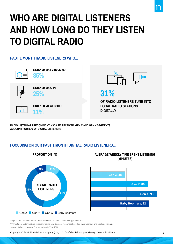# **WHO ARE DIGITAL LISTENERS AND HOW LONG DO THEY LISTEN TO DIGITAL RADIO**

### **PAST 1 MONTH RADIO LISTENERS WHO...**



**RADIO LISTENING PREDOMINANTLY VIA FM RECEIVER. GEN X AND GEN Y SEGMENTS ACCOUNT FOR 80% OF DIGITAL LISTENERS**

### **FOCUSING ON OUR PAST 1 MONTH DIGITAL RADIO LISTENERS...**



\*Digital radio listeners refer to those who listen to radio stations via apps/websites

\*\*Time Spent Listening is calculated by combining listeners responses based on their weekday and weekend listening Source: Nielsen Singapore Consumer Media View 2020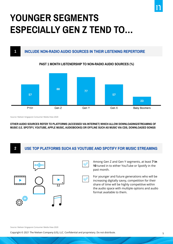## **YOUNGER SEGMENTS ESPECIALLY GEN Z TEND TO…**

### **INCLUDE NON-RADIO AUDIO SOURCES IN THEIR LISTENING REPERTOIRE**

#### **PAST 1 MONTH LISTENERSHIP TO NON-RADIO AUDIO SOURCES (%)**



Source: Nielsen Singapore Consumer Media View 2020

**1**

**OTHER AUDIO SOURCES REFER TO PLATFORMS (ACCESSED VIA INTERNET) WHICH ALLOW DOWNLOADING/STREAMING OF MUSIC (I.E. SPOTIFY, YOUTUBE, APPLE MUSIC, AUDIOBOOKS) OR OFFLINE SUCH AS MUSIC VIA CDS, DOWNLOADED SONGS**

#### **FOCUSING ON OUR PART 2 MONTH DIGITAL RADIO LISTENERS. 2 USE TOP PLATFORMS SUCH AS YOUTUBE AND SPOTIFY FOR MUSIC STREAMING**



Among Gen Z and Gen Y segments, at least **7 in 10** tuned in to either YouTube or Spotify in the past month.

For younger and future generations who will be increasing digitally savvy, competition for their share of time will be highly competitive within the audio space with multiple options and audio format available to them.

Source: Nielsen Singapore Consumer Media View 2020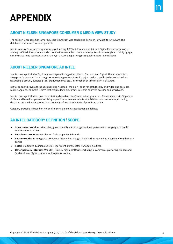### **APPENDIX**

### **ABOUT NIELSEN SINGAPORE CONSUMER & MEDIA VIEW STUDY**

The Nielsen Singapore Consumer & Media View Study was conducted between July 2019 to June 2020. The database consists of three components:

Media Index & Consumer Insights (surveyed among 4,833 adult respondents), and Digital Consumer (surveyed among 1,608 adult respondents who use the internet at least once a month). Results are weighted mainly by age, sex and race to be representative of the 4,310 ('000) people living in Singapore aged 15 and above.

### **ABOUT NIELSEN SINGAPORE AD INTEL**

Media coverage includes TV, Print (newspapers & magazines), Radio, Outdoor, and Digital. The ad spend is in Singapore Dollars and based on gross advertising expenditures in major media at published rate card values (excluding discount, bundled price, production cost, etc.). Information at time of print is accurate.

Digital ad spend coverage includes Desktop / Laptop / Mobile / Tablet for both Display and Video and excludes mobile apps, social media & sites that require login (i.e. premium / paid contents access), and search ads.

Media coverage includes Local radio stations based on Live/Broadcast programmes. The ad spend is in Singapore Dollars and based on gross advertising expenditures in major media at published rate card values (excluding discount, bundled price, production cost, etc.). Information at time of print is accurate.

Category grouping is based on Nielsen's discretion and categorization guidelines.

### **AD INTEL CATEGORY DEFINITION / SCOPE**

- **Government services:** Ministries, government bodies or organizations, government campaigns or public service announcements
- Petroleum products: Petroleum / fuel companies & brands
- **Pharmaceuticals:** Analgesics / Sedatives / Remedies, Cough / Cold & Sinus Remedies, Vitamins / Health Prep / Tonics
- Retail: Boutiques, Fashion outlets, Department stores, Retail / Shopping outlets
- **Other portals / internet:** Websites, Online / digital platforms including: e-commerce platforms, on-demand (audio, video), digital communication platforms, etc.